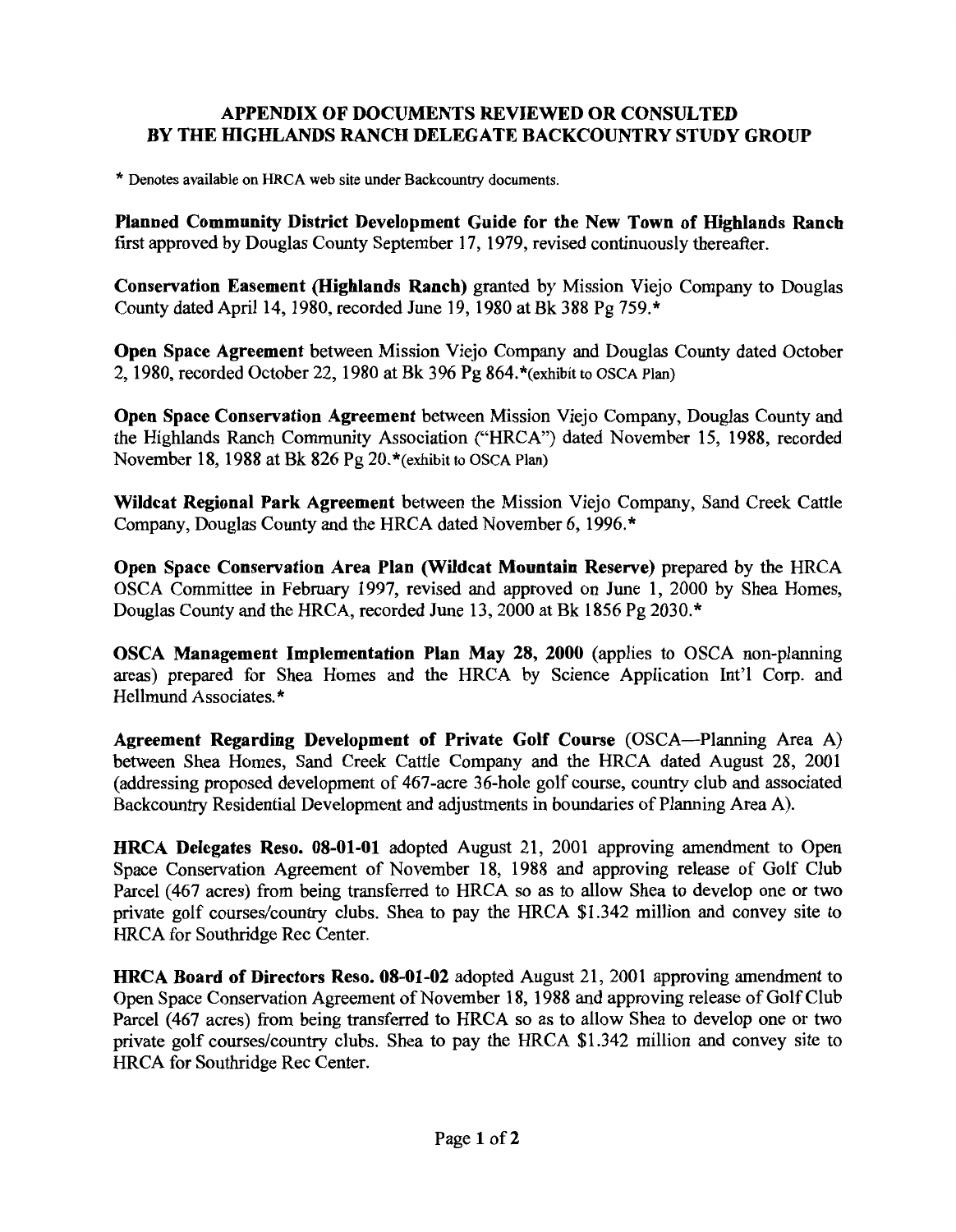## **APPENDIX OF DOCUMENTS REVIEWED OR CONSULTED BY THE HIGHLANDS RANCH DELEGATE BACKCOUNTRY STUDY GROUP**

\* Denotes available on HRCA web site under Backcountry documents.

**Planned Community District Development Guide for the New Town of Highlands Ranch**  first approved by Douglas County September 17, 1979, revised continuously thereafter.

**Conservation Easement (Highlands Ranch)** granted by Mission Viejo Company to Douglas County dated April 14, 1980, recorded June 19, 1980 at Bk 388 Pg 759.\*

**Open Space Agreement** between Mission Viejo Company and Douglas County dated October 2, 1980, recorded October 22, 1980 at Bk 396 Pg 864. \*(exhibit to OSCA Plan)

**Open Space Conservation Agreement** between Mission Viejo Company, Douglas County and the Highlands Ranch Community Association ("HRCA") dated November 15, 1988, recorded November 18, 1988 at Bk 826 Pg 20.\*(exhibit to OSCA Plan)

**Wildcat Regional Park Agreement** between the Mission Viejo Company, Sand Creek Cattle Company, Douglas County and the HRCA dated November 6, 1996. \*

**Open Space Conservation Area Plan (Wildcat Mountain Reserve)** prepared by the HRCA OSCA Committee in February 1997, revised and approved on June 1, 2000 by Shea Homes, Douglas County and the HRCA, recorded June 13, 2000 at Bk 1856 Pg 2030. \*

**OSCA Management Implementation Plan May 28, 2000** (applies to OSCA non-planning areas) prepared for Shea Homes and the HRCA by Science Application Int'l Corp. and Hellmund Associates.\*

**Agreement Regarding Development of Private Golf Course** (OSCA-Planning Area A) between Shea Homes, Sand Creek Cattle Company and the HRCA dated August 28, 2001 (addressing proposed development of 467-acre 36-hole golf course, country club and associated Backcountry Residential Development and adjustments in boundaries of Planning Area A).

**HRCA Delegates Reso. 08-01-01** adopted August 21, 2001 approving amendment to Open Space Conservation Agreement of November 18, 1988 and approving release of Golf Club Parcel (467 acres) from being transferred to HRCA so as to allow Shea to develop one or two private golf courses/country clubs. Shea to pay the HRCA \$1.342 million and convey site to HRCA for Southridge Rec Center.

**HRCA Board of Directors Reso. 08-01-02** adopted August 21, 2001 approving amendment to Open Space Conservation Agreement of November 18, 1988 and approving release of Golf Club Parcel (467 acres) from being transferred to HRCA so as to allow Shea to develop one or two private golf courses/country clubs. Shea to pay the HRCA \$1.342 million and convey site to HRCA for Southridge Rec Center.